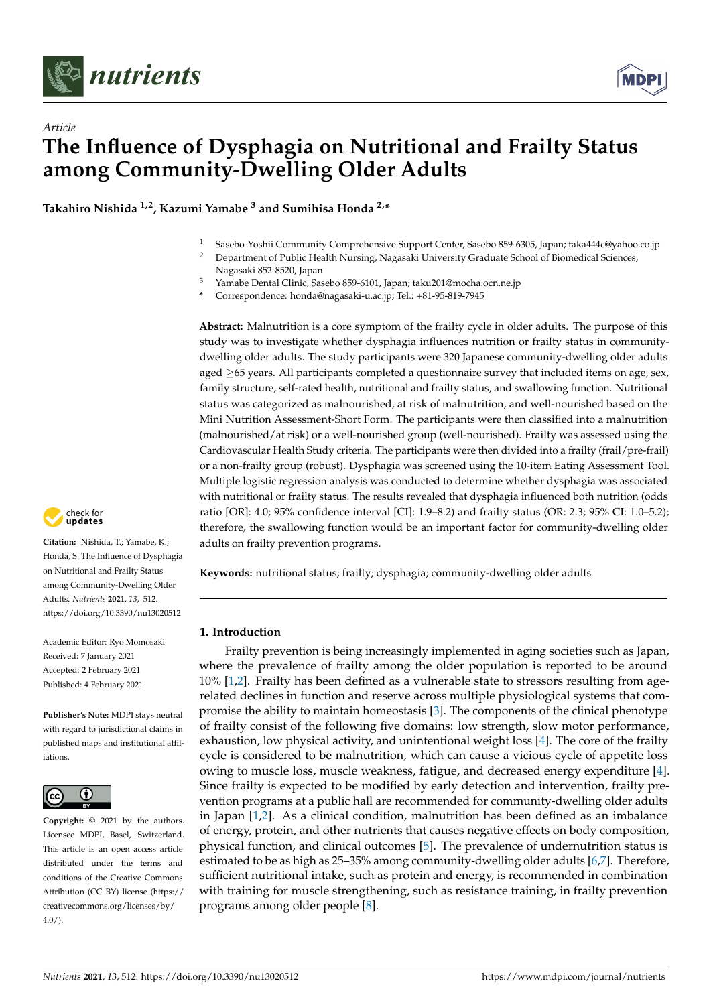



# *Article* **The Influence of Dysphagia on Nutritional and Frailty Status among Community-Dwelling Older Adults**

**Takahiro Nishida 1,2, Kazumi Yamabe <sup>3</sup> and Sumihisa Honda 2,\***

- <sup>1</sup> Sasebo-Yoshii Community Comprehensive Support Center, Sasebo 859-6305, Japan; taka444c@yahoo.co.jp
- <sup>2</sup> Department of Public Health Nursing, Nagasaki University Graduate School of Biomedical Sciences, Nagasaki 852-8520, Japan
- <sup>3</sup> Yamabe Dental Clinic, Sasebo 859-6101, Japan; taku201@mocha.ocn.ne.jp
- **\*** Correspondence: honda@nagasaki-u.ac.jp; Tel.: +81-95-819-7945

**Abstract:** Malnutrition is a core symptom of the frailty cycle in older adults. The purpose of this study was to investigate whether dysphagia influences nutrition or frailty status in communitydwelling older adults. The study participants were 320 Japanese community-dwelling older adults aged  $\geq$ 65 years. All participants completed a questionnaire survey that included items on age, sex, family structure, self-rated health, nutritional and frailty status, and swallowing function. Nutritional status was categorized as malnourished, at risk of malnutrition, and well-nourished based on the Mini Nutrition Assessment-Short Form. The participants were then classified into a malnutrition (malnourished/at risk) or a well-nourished group (well-nourished). Frailty was assessed using the Cardiovascular Health Study criteria. The participants were then divided into a frailty (frail/pre-frail) or a non-frailty group (robust). Dysphagia was screened using the 10-item Eating Assessment Tool. Multiple logistic regression analysis was conducted to determine whether dysphagia was associated with nutritional or frailty status. The results revealed that dysphagia influenced both nutrition (odds ratio [OR]: 4.0; 95% confidence interval [CI]: 1.9–8.2) and frailty status (OR: 2.3; 95% CI: 1.0–5.2); therefore, the swallowing function would be an important factor for community-dwelling older adults on frailty prevention programs.



## **1. Introduction**

Frailty prevention is being increasingly implemented in aging societies such as Japan, where the prevalence of frailty among the older population is reported to be around 10% [\[1,](#page-6-0)[2\]](#page-6-1). Frailty has been defined as a vulnerable state to stressors resulting from agerelated declines in function and reserve across multiple physiological systems that compromise the ability to maintain homeostasis [\[3\]](#page-6-2). The components of the clinical phenotype of frailty consist of the following five domains: low strength, slow motor performance, exhaustion, low physical activity, and unintentional weight loss [\[4\]](#page-6-3). The core of the frailty cycle is considered to be malnutrition, which can cause a vicious cycle of appetite loss owing to muscle loss, muscle weakness, fatigue, and decreased energy expenditure [\[4\]](#page-6-3). Since frailty is expected to be modified by early detection and intervention, frailty prevention programs at a public hall are recommended for community-dwelling older adults in Japan [\[1](#page-6-0)[,2\]](#page-6-1). As a clinical condition, malnutrition has been defined as an imbalance of energy, protein, and other nutrients that causes negative effects on body composition, physical function, and clinical outcomes [\[5\]](#page-6-4). The prevalence of undernutrition status is estimated to be as high as 25–35% among community-dwelling older adults [\[6](#page-6-5)[,7\]](#page-6-6). Therefore, sufficient nutritional intake, such as protein and energy, is recommended in combination with training for muscle strengthening, such as resistance training, in frailty prevention programs among older people [\[8\]](#page-6-7).



**Citation:** Nishida, T.; Yamabe, K.; Honda, S. The Influence of Dysphagia on Nutritional and Frailty Status among Community-Dwelling Older Adults. *Nutrients* **2021**, *13*, 512. <https://doi.org/10.3390/nu13020512>

Academic Editor: Ryo Momosaki Received: 7 January 2021 Accepted: 2 February 2021 Published: 4 February 2021

**Publisher's Note:** MDPI stays neutral with regard to jurisdictional claims in published maps and institutional affiliations.



**Copyright:** © 2021 by the authors. Licensee MDPI, Basel, Switzerland. This article is an open access article distributed under the terms and conditions of the Creative Commons Attribution (CC BY) license (https:/[/](https://creativecommons.org/licenses/by/4.0/) [creativecommons.org/licenses/by/](https://creativecommons.org/licenses/by/4.0/)  $4.0/$ ).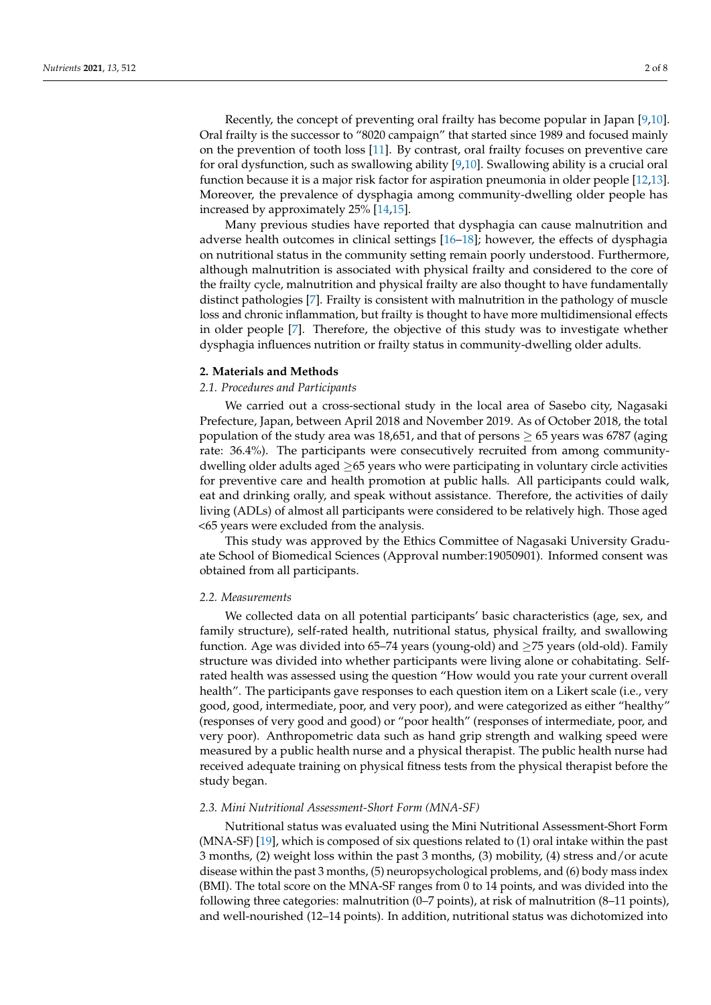Recently, the concept of preventing oral frailty has become popular in Japan [\[9,](#page-6-8)[10\]](#page-6-9). Oral frailty is the successor to "8020 campaign" that started since 1989 and focused mainly on the prevention of tooth loss [\[11\]](#page-6-10). By contrast, oral frailty focuses on preventive care for oral dysfunction, such as swallowing ability [\[9,](#page-6-8)[10\]](#page-6-9). Swallowing ability is a crucial oral function because it is a major risk factor for aspiration pneumonia in older people [\[12,](#page-6-11)[13\]](#page-6-12). Moreover, the prevalence of dysphagia among community-dwelling older people has increased by approximately 25% [\[14,](#page-6-13)[15\]](#page-6-14).

Many previous studies have reported that dysphagia can cause malnutrition and adverse health outcomes in clinical settings [\[16–](#page-6-15)[18\]](#page-6-16); however, the effects of dysphagia on nutritional status in the community setting remain poorly understood. Furthermore, although malnutrition is associated with physical frailty and considered to the core of the frailty cycle, malnutrition and physical frailty are also thought to have fundamentally distinct pathologies [\[7\]](#page-6-6). Frailty is consistent with malnutrition in the pathology of muscle loss and chronic inflammation, but frailty is thought to have more multidimensional effects in older people [\[7\]](#page-6-6). Therefore, the objective of this study was to investigate whether dysphagia influences nutrition or frailty status in community-dwelling older adults.

#### **2. Materials and Methods**

## *2.1. Procedures and Participants*

We carried out a cross-sectional study in the local area of Sasebo city, Nagasaki Prefecture, Japan, between April 2018 and November 2019. As of October 2018, the total population of the study area was 18,651, and that of persons  $\geq$  65 years was 6787 (aging rate: 36.4%). The participants were consecutively recruited from among communitydwelling older adults aged ≥65 years who were participating in voluntary circle activities for preventive care and health promotion at public halls. All participants could walk, eat and drinking orally, and speak without assistance. Therefore, the activities of daily living (ADLs) of almost all participants were considered to be relatively high. Those aged <65 years were excluded from the analysis.

This study was approved by the Ethics Committee of Nagasaki University Graduate School of Biomedical Sciences (Approval number:19050901). Informed consent was obtained from all participants.

#### *2.2. Measurements*

We collected data on all potential participants' basic characteristics (age, sex, and family structure), self-rated health, nutritional status, physical frailty, and swallowing function. Age was divided into 65–74 years (young-old) and  $\geq$ 75 years (old-old). Family structure was divided into whether participants were living alone or cohabitating. Selfrated health was assessed using the question "How would you rate your current overall health". The participants gave responses to each question item on a Likert scale (i.e., very good, good, intermediate, poor, and very poor), and were categorized as either "healthy" (responses of very good and good) or "poor health" (responses of intermediate, poor, and very poor). Anthropometric data such as hand grip strength and walking speed were measured by a public health nurse and a physical therapist. The public health nurse had received adequate training on physical fitness tests from the physical therapist before the study began.

## *2.3. Mini Nutritional Assessment-Short Form (MNA-SF)*

Nutritional status was evaluated using the Mini Nutritional Assessment-Short Form (MNA-SF) [\[19\]](#page-6-17), which is composed of six questions related to (1) oral intake within the past 3 months, (2) weight loss within the past 3 months, (3) mobility, (4) stress and/or acute disease within the past 3 months, (5) neuropsychological problems, and (6) body mass index (BMI). The total score on the MNA-SF ranges from 0 to 14 points, and was divided into the following three categories: malnutrition (0–7 points), at risk of malnutrition (8–11 points), and well-nourished (12–14 points). In addition, nutritional status was dichotomized into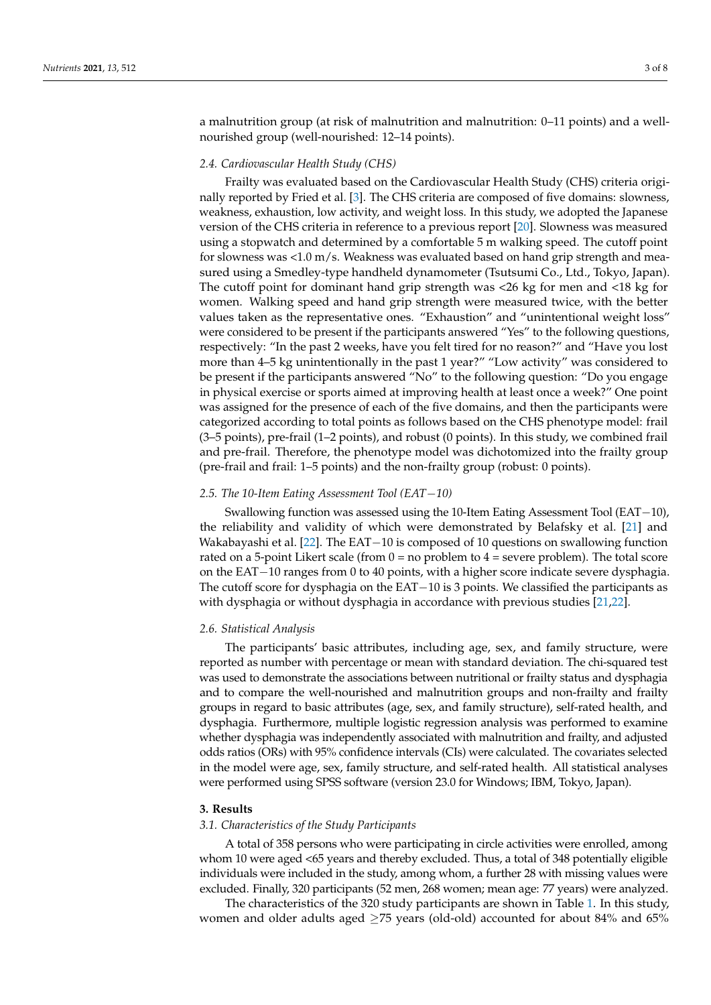a malnutrition group (at risk of malnutrition and malnutrition: 0–11 points) and a wellnourished group (well-nourished: 12–14 points).

## *2.4. Cardiovascular Health Study (CHS)*

Frailty was evaluated based on the Cardiovascular Health Study (CHS) criteria originally reported by Fried et al. [\[3\]](#page-6-2). The CHS criteria are composed of five domains: slowness, weakness, exhaustion, low activity, and weight loss. In this study, we adopted the Japanese version of the CHS criteria in reference to a previous report [\[20\]](#page-6-18). Slowness was measured using a stopwatch and determined by a comfortable 5 m walking speed. The cutoff point for slowness was  $\langle 1.0 \text{ m/s}$ . Weakness was evaluated based on hand grip strength and measured using a Smedley-type handheld dynamometer (Tsutsumi Co., Ltd., Tokyo, Japan). The cutoff point for dominant hand grip strength was <26 kg for men and <18 kg for women. Walking speed and hand grip strength were measured twice, with the better values taken as the representative ones. "Exhaustion" and "unintentional weight loss" were considered to be present if the participants answered "Yes" to the following questions, respectively: "In the past 2 weeks, have you felt tired for no reason?" and "Have you lost more than 4–5 kg unintentionally in the past 1 year?" "Low activity" was considered to be present if the participants answered "No" to the following question: "Do you engage in physical exercise or sports aimed at improving health at least once a week?" One point was assigned for the presence of each of the five domains, and then the participants were categorized according to total points as follows based on the CHS phenotype model: frail (3–5 points), pre-frail (1–2 points), and robust (0 points). In this study, we combined frail and pre-frail. Therefore, the phenotype model was dichotomized into the frailty group (pre-frail and frail: 1–5 points) and the non-frailty group (robust: 0 points).

## *2.5. The 10-Item Eating Assessment Tool (EAT*−*10)*

Swallowing function was assessed using the 10-Item Eating Assessment Tool (EAT−10), the reliability and validity of which were demonstrated by Belafsky et al. [\[21\]](#page-7-0) and Wakabayashi et al. [\[22\]](#page-7-1). The EAT−10 is composed of 10 questions on swallowing function rated on a 5-point Likert scale (from  $0 =$  no problem to  $4 =$  severe problem). The total score on the EAT−10 ranges from 0 to 40 points, with a higher score indicate severe dysphagia. The cutoff score for dysphagia on the EAT−10 is 3 points. We classified the participants as with dysphagia or without dysphagia in accordance with previous studies [\[21](#page-7-0)[,22\]](#page-7-1).

#### *2.6. Statistical Analysis*

The participants' basic attributes, including age, sex, and family structure, were reported as number with percentage or mean with standard deviation. The chi-squared test was used to demonstrate the associations between nutritional or frailty status and dysphagia and to compare the well-nourished and malnutrition groups and non-frailty and frailty groups in regard to basic attributes (age, sex, and family structure), self-rated health, and dysphagia. Furthermore, multiple logistic regression analysis was performed to examine whether dysphagia was independently associated with malnutrition and frailty, and adjusted odds ratios (ORs) with 95% confidence intervals (CIs) were calculated. The covariates selected in the model were age, sex, family structure, and self-rated health. All statistical analyses were performed using SPSS software (version 23.0 for Windows; IBM, Tokyo, Japan).

#### **3. Results**

#### *3.1. Characteristics of the Study Participants*

A total of 358 persons who were participating in circle activities were enrolled, among whom 10 were aged <65 years and thereby excluded. Thus, a total of 348 potentially eligible individuals were included in the study, among whom, a further 28 with missing values were excluded. Finally, 320 participants (52 men, 268 women; mean age: 77 years) were analyzed.

The characteristics of the 320 study participants are shown in Table [1.](#page-3-0) In this study, women and older adults aged  $\geq$ 75 years (old-old) accounted for about 84% and 65%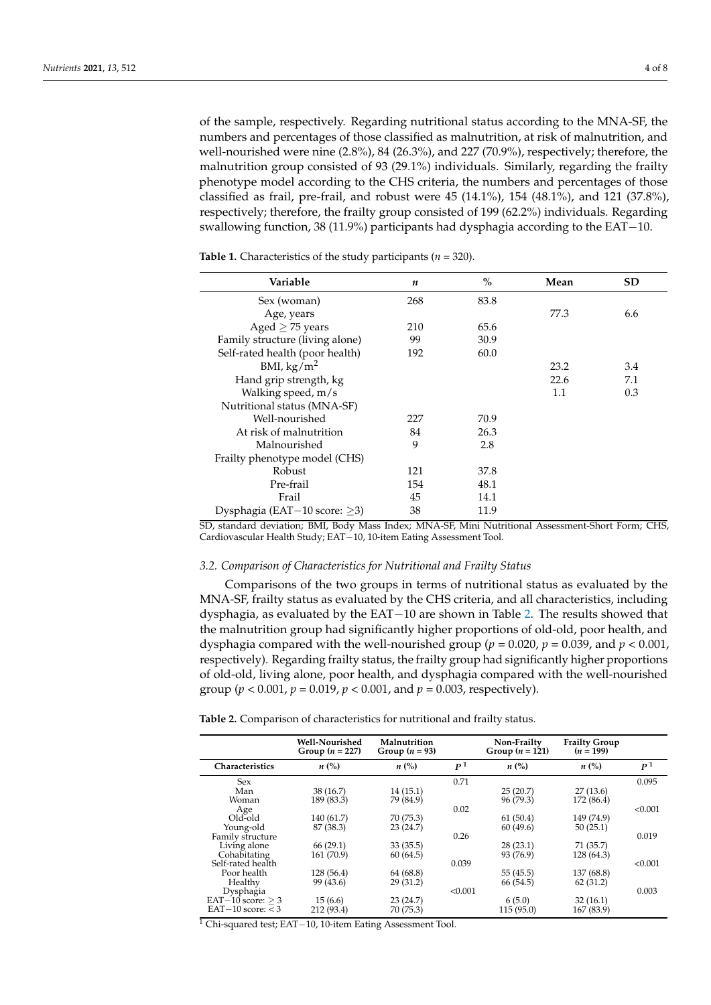of the sample, respectively. Regarding nutritional status according to the MNA-SF, the numbers and percentages of those classified as malnutrition, at risk of malnutrition, and well-nourished were nine (2.8%), 84 (26.3%), and 227 (70.9%), respectively; therefore, the malnutrition group consisted of 93 (29.1%) individuals. Similarly, regarding the frailty phenotype model according to the CHS criteria, the numbers and percentages of those classified as frail, pre-frail, and robust were  $45$  (14.1%),  $154$  ( $48.1\%$ ), and  $121$  ( $37.8\%$ ), respectively; therefore, the frailty group consisted of 199 (62.2%) individuals. Regarding swallowing function, 38 (11.9%) participants had dysphagia according to the EAT−10.

**Variable** *n* **% Mean SD** Sex (woman) 268 83.8 Age, years 6.6<br>  $\text{red} > 75 \text{ years}$  210 65.6 77.3 6.6 Aged  $\geq$  75 years 210 65.6 Family structure (living alone) 99 30.9<br>
Self-rated health (poor health) 192 60.0 Self-rated health (poor health) 192 60.0  $\frac{\text{BMI, kg/m}^2}{\text{BMI, kg/m}^2}$  23.2 3.4 Hand grip strength, kg Walking speed,  $m/s$  1.1 0.3 Nutritional status (MNA-SF) Well-nourished 227 70.9 At risk of malnutrition 84 26.3 Malnourished 9 2.8 Frailty phenotype model (CHS) Robust 121 37.8 Pre-frail 154 48.1 Frail 14.1 Dysphagia (EAT−10 score: ≥3) 38 11.9

<span id="page-3-0"></span>**Table 1.** Characteristics of the study participants (*n* = 320).

SD, standard deviation; BMI, Body Mass Index; MNA-SF, Mini Nutritional Assessment-Short Form; CHS, Cardiovascular Health Study; EAT−10, 10-item Eating Assessment Tool.

## *3.2. Comparison of Characteristics for Nutritional and Frailty Status*

Comparisons of the two groups in terms of nutritional status as evaluated by the MNA-SF, frailty status as evaluated by the CHS criteria, and all characteristics, including dysphagia, as evaluated by the EAT−10 are shown in Table [2.](#page-3-1) The results showed that the malnutrition group had significantly higher proportions of old-old, poor health, and dysphagia compared with the well-nourished group ( $p = 0.020$ ,  $p = 0.039$ , and  $p < 0.001$ , respectively). Regarding frailty status, the frailty group had significantly higher proportions of old-old, living alone, poor health, and dysphagia compared with the well-nourished group (*p* < 0.001, *p* = 0.019, *p* < 0.001, and *p* = 0.003, respectively).

<span id="page-3-1"></span>**Table 2.** Comparison of characteristics for nutritional and frailty status.

|                        | Well-Nourished<br>Group $(n = 227)$ | Malnutrition<br>Group $(n = 93)$ |                | Non-Frailty<br>Group $(n = 121)$ | <b>Frailty Group</b><br>$(n = 199)$ |                |
|------------------------|-------------------------------------|----------------------------------|----------------|----------------------------------|-------------------------------------|----------------|
| <b>Characteristics</b> | $n\ (\%)$                           | $n\ (\%)$                        | P <sup>1</sup> | $n\ (\%)$                        | $n\ (\%)$                           | P <sup>1</sup> |
| <b>Sex</b>             |                                     |                                  | 0.71           |                                  |                                     | 0.095          |
| Man                    | 38 (16.7)                           | 14(15.1)                         |                | 25(20.7)                         | 27(13.6)                            |                |
| Woman                  | 189 (83.3)                          | 79 (84.9)                        |                | 96 (79.3)                        | 172 (86.4)                          |                |
| Age                    |                                     |                                  | 0.02           |                                  |                                     | < 0.001        |
| Old-old                | 140 (61.7)                          | 70 (75.3)                        |                | 61(50.4)                         | 149 (74.9)                          |                |
| Young-old              | 87 (38.3)                           | 23(24.7)                         |                | 60(49.6)                         | 50(25.1)                            |                |
| Family structure       |                                     |                                  | 0.26           |                                  |                                     | 0.019          |
| Living alone           | 66(29.1)                            | 33(35.5)                         |                | 28(23.1)                         | 71 (35.7)                           |                |
| Cohabitating           | 161 (70.9)                          | 60(64.5)                         |                | 93 (76.9)                        | 128 (64.3)                          |                |
| Self-rated health      |                                     |                                  | 0.039          |                                  |                                     | < 0.001        |
| Poor health            | 128 (56.4)                          | 64 (68.8)                        |                | 55 (45.5)                        | 137 (68.8)                          |                |
| Healthy                | 99 (43.6)                           | 29(31.2)                         |                | 66 (54.5)                        | 62(31.2)                            |                |
| Dysphagia              |                                     |                                  | < 0.001        |                                  |                                     | 0.003          |
| EAT $-10$ score: $> 3$ | 15(6.6)                             | 23(24.7)                         |                | 6(5.0)                           | 32(16.1)                            |                |
| $EAT-10$ score: $<$ 3  | 212 (93.4)                          | 70 (75.3)                        |                | 115(95.0)                        | 167 (83.9)                          |                |

<sup>1</sup> Chi-squared test; EAT−10, 10-item Eating Assessment Tool.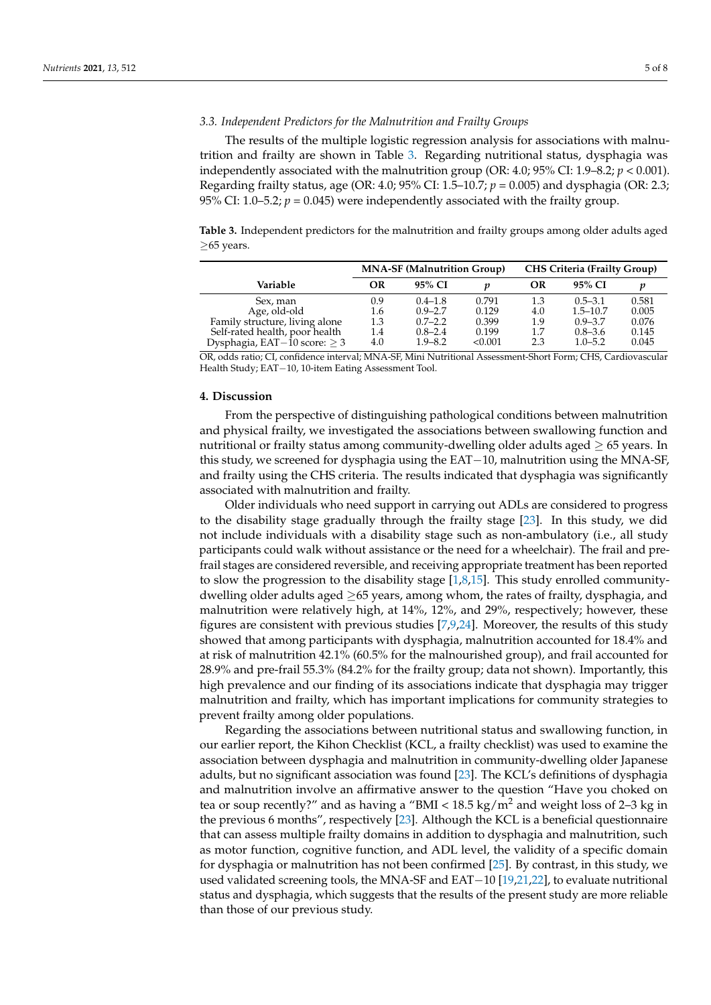## *3.3. Independent Predictors for the Malnutrition and Frailty Groups*

The results of the multiple logistic regression analysis for associations with malnutrition and frailty are shown in Table [3.](#page-4-0) Regarding nutritional status, dysphagia was independently associated with the malnutrition group (OR:  $4.0$ ;  $95\%$  CI:  $1.9-8.2$ ;  $p < 0.001$ ). Regarding frailty status, age (OR: 4.0; 95% CI: 1.5–10.7; *p* = 0.005) and dysphagia (OR: 2.3; 95% CI: 1.0–5.2;  $p = 0.045$ ) were independently associated with the frailty group.

<span id="page-4-0"></span>**Table 3.** Independent predictors for the malnutrition and frailty groups among older adults aged ≥65 years.

| <b>MNA-SF (Malnutrition Group)</b> |             |                                                                                                                                                                                                                                                                                                                                    | <b>CHS Criteria (Frailty Group)</b> |                             |                  |
|------------------------------------|-------------|------------------------------------------------------------------------------------------------------------------------------------------------------------------------------------------------------------------------------------------------------------------------------------------------------------------------------------|-------------------------------------|-----------------------------|------------------|
| OR                                 | 95% CI      | п                                                                                                                                                                                                                                                                                                                                  | OR                                  | 95% CI                      | n                |
| 0.9                                | $0.4 - 1.8$ | 0.791                                                                                                                                                                                                                                                                                                                              | 1.3                                 | $0.5 - 3.1$                 | 0.581            |
| 1.6                                | $0.9 - 2.7$ | 0.129                                                                                                                                                                                                                                                                                                                              | 4.0                                 | $1.5 - 10.7$                | 0.005            |
| 1.3                                | $0.7 - 2.2$ | 0.399                                                                                                                                                                                                                                                                                                                              | 1.9                                 | $0.9 - 3.7$                 | 0.076            |
| 1.4                                | $0.8 - 2.4$ | 0.199                                                                                                                                                                                                                                                                                                                              | 1.7                                 | $0.8 - 3.6$                 | 0.145            |
| 4.0                                | $1.9 - 8.2$ | < 0.001                                                                                                                                                                                                                                                                                                                            | 2.3                                 | $1.0 - 5.2$                 | 0.045            |
|                                    |             | $\mathbf{A}$ $\mathbf{A}$ $\mathbf{A}$ $\mathbf{A}$ $\mathbf{A}$ $\mathbf{A}$ $\mathbf{A}$ $\mathbf{A}$ $\mathbf{A}$ $\mathbf{A}$ $\mathbf{A}$ $\mathbf{A}$ $\mathbf{A}$ $\mathbf{A}$ $\mathbf{A}$ $\mathbf{A}$ $\mathbf{A}$ $\mathbf{A}$ $\mathbf{A}$ $\mathbf{A}$ $\mathbf{A}$ $\mathbf{A}$ $\mathbf{A}$ $\mathbf{A}$ $\mathbf{$ |                                     | $. \cap$<br>$\cdot$ $\cdot$ | $\cap$ TO $\cap$ |

OR, odds ratio; CI, confidence interval; MNA-SF, Mini Nutritional Assessment-Short Form; CHS, Cardiovascular Health Study; EAT−10, 10-item Eating Assessment Tool.

## **4. Discussion**

From the perspective of distinguishing pathological conditions between malnutrition and physical frailty, we investigated the associations between swallowing function and nutritional or frailty status among community-dwelling older adults aged  $\geq 65$  years. In this study, we screened for dysphagia using the EAT−10, malnutrition using the MNA-SF, and frailty using the CHS criteria. The results indicated that dysphagia was significantly associated with malnutrition and frailty.

Older individuals who need support in carrying out ADLs are considered to progress to the disability stage gradually through the frailty stage [\[23\]](#page-7-2). In this study, we did not include individuals with a disability stage such as non-ambulatory (i.e., all study participants could walk without assistance or the need for a wheelchair). The frail and prefrail stages are considered reversible, and receiving appropriate treatment has been reported to slow the progression to the disability stage [\[1](#page-6-0)[,8](#page-6-7)[,15\]](#page-6-14). This study enrolled communitydwelling older adults aged ≥65 years, among whom, the rates of frailty, dysphagia, and malnutrition were relatively high, at 14%, 12%, and 29%, respectively; however, these figures are consistent with previous studies [\[7,](#page-6-6)[9,](#page-6-8)[24\]](#page-7-3). Moreover, the results of this study showed that among participants with dysphagia, malnutrition accounted for 18.4% and at risk of malnutrition 42.1% (60.5% for the malnourished group), and frail accounted for 28.9% and pre-frail 55.3% (84.2% for the frailty group; data not shown). Importantly, this high prevalence and our finding of its associations indicate that dysphagia may trigger malnutrition and frailty, which has important implications for community strategies to prevent frailty among older populations.

Regarding the associations between nutritional status and swallowing function, in our earlier report, the Kihon Checklist (KCL, a frailty checklist) was used to examine the association between dysphagia and malnutrition in community-dwelling older Japanese adults, but no significant association was found [\[23\]](#page-7-2). The KCL's definitions of dysphagia and malnutrition involve an affirmative answer to the question "Have you choked on tea or soup recently?" and as having a "BMI  $<$  18.5 kg/m<sup>2</sup> and weight loss of 2–3 kg in the previous 6 months", respectively [\[23\]](#page-7-2). Although the KCL is a beneficial questionnaire that can assess multiple frailty domains in addition to dysphagia and malnutrition, such as motor function, cognitive function, and ADL level, the validity of a specific domain for dysphagia or malnutrition has not been confirmed [\[25\]](#page-7-4). By contrast, in this study, we used validated screening tools, the MNA-SF and EAT−10 [\[19,](#page-6-17)[21](#page-7-0)[,22\]](#page-7-1), to evaluate nutritional status and dysphagia, which suggests that the results of the present study are more reliable than those of our previous study.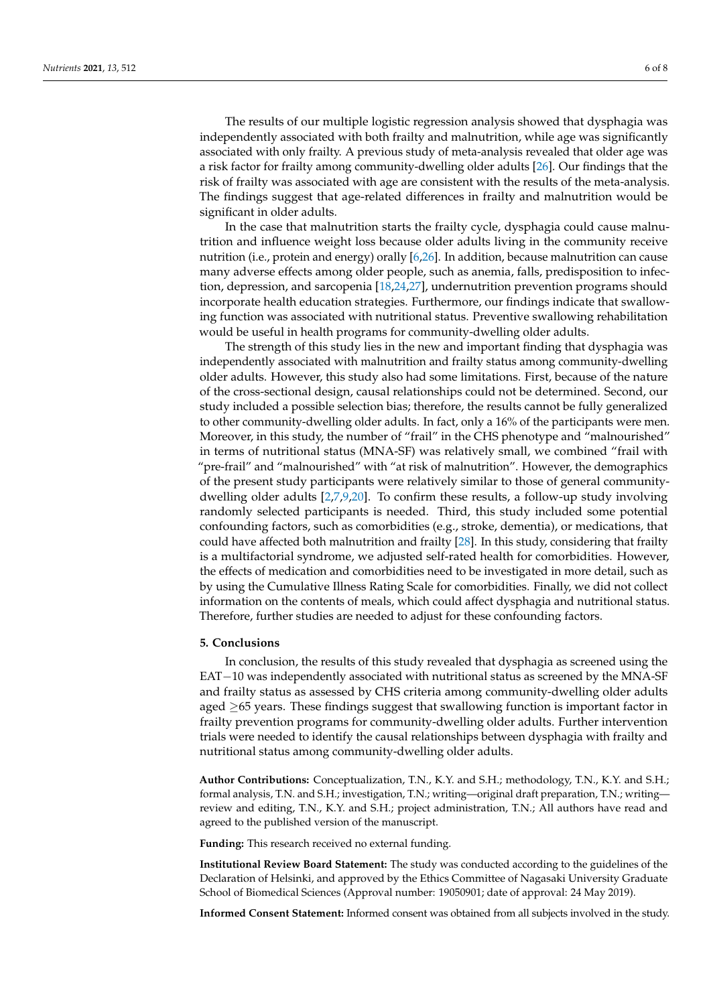The results of our multiple logistic regression analysis showed that dysphagia was independently associated with both frailty and malnutrition, while age was significantly associated with only frailty. A previous study of meta-analysis revealed that older age was a risk factor for frailty among community-dwelling older adults [\[26\]](#page-7-5). Our findings that the risk of frailty was associated with age are consistent with the results of the meta-analysis. The findings suggest that age-related differences in frailty and malnutrition would be significant in older adults.

In the case that malnutrition starts the frailty cycle, dysphagia could cause malnutrition and influence weight loss because older adults living in the community receive nutrition (i.e., protein and energy) orally [\[6,](#page-6-5)[26\]](#page-7-5). In addition, because malnutrition can cause many adverse effects among older people, such as anemia, falls, predisposition to infection, depression, and sarcopenia [\[18,](#page-6-16)[24,](#page-7-3)[27\]](#page-7-6), undernutrition prevention programs should incorporate health education strategies. Furthermore, our findings indicate that swallowing function was associated with nutritional status. Preventive swallowing rehabilitation would be useful in health programs for community-dwelling older adults.

The strength of this study lies in the new and important finding that dysphagia was independently associated with malnutrition and frailty status among community-dwelling older adults. However, this study also had some limitations. First, because of the nature of the cross-sectional design, causal relationships could not be determined. Second, our study included a possible selection bias; therefore, the results cannot be fully generalized to other community-dwelling older adults. In fact, only a 16% of the participants were men. Moreover, in this study, the number of "frail" in the CHS phenotype and "malnourished" in terms of nutritional status (MNA-SF) was relatively small, we combined "frail with "pre-frail" and "malnourished" with "at risk of malnutrition". However, the demographics of the present study participants were relatively similar to those of general communitydwelling older adults [\[2,](#page-6-1)[7,](#page-6-6)[9,](#page-6-8)[20\]](#page-6-18). To confirm these results, a follow-up study involving randomly selected participants is needed. Third, this study included some potential confounding factors, such as comorbidities (e.g., stroke, dementia), or medications, that could have affected both malnutrition and frailty [\[28\]](#page-7-7). In this study, considering that frailty is a multifactorial syndrome, we adjusted self-rated health for comorbidities. However, the effects of medication and comorbidities need to be investigated in more detail, such as by using the Cumulative Illness Rating Scale for comorbidities. Finally, we did not collect information on the contents of meals, which could affect dysphagia and nutritional status. Therefore, further studies are needed to adjust for these confounding factors.

#### **5. Conclusions**

In conclusion, the results of this study revealed that dysphagia as screened using the EAT−10 was independently associated with nutritional status as screened by the MNA-SF and frailty status as assessed by CHS criteria among community-dwelling older adults aged ≥65 years. These findings suggest that swallowing function is important factor in frailty prevention programs for community-dwelling older adults. Further intervention trials were needed to identify the causal relationships between dysphagia with frailty and nutritional status among community-dwelling older adults.

**Author Contributions:** Conceptualization, T.N., K.Y. and S.H.; methodology, T.N., K.Y. and S.H.; formal analysis, T.N. and S.H.; investigation, T.N.; writing—original draft preparation, T.N.; writing review and editing, T.N., K.Y. and S.H.; project administration, T.N.; All authors have read and agreed to the published version of the manuscript.

**Funding:** This research received no external funding.

**Institutional Review Board Statement:** The study was conducted according to the guidelines of the Declaration of Helsinki, and approved by the Ethics Committee of Nagasaki University Graduate School of Biomedical Sciences (Approval number: 19050901; date of approval: 24 May 2019).

**Informed Consent Statement:** Informed consent was obtained from all subjects involved in the study.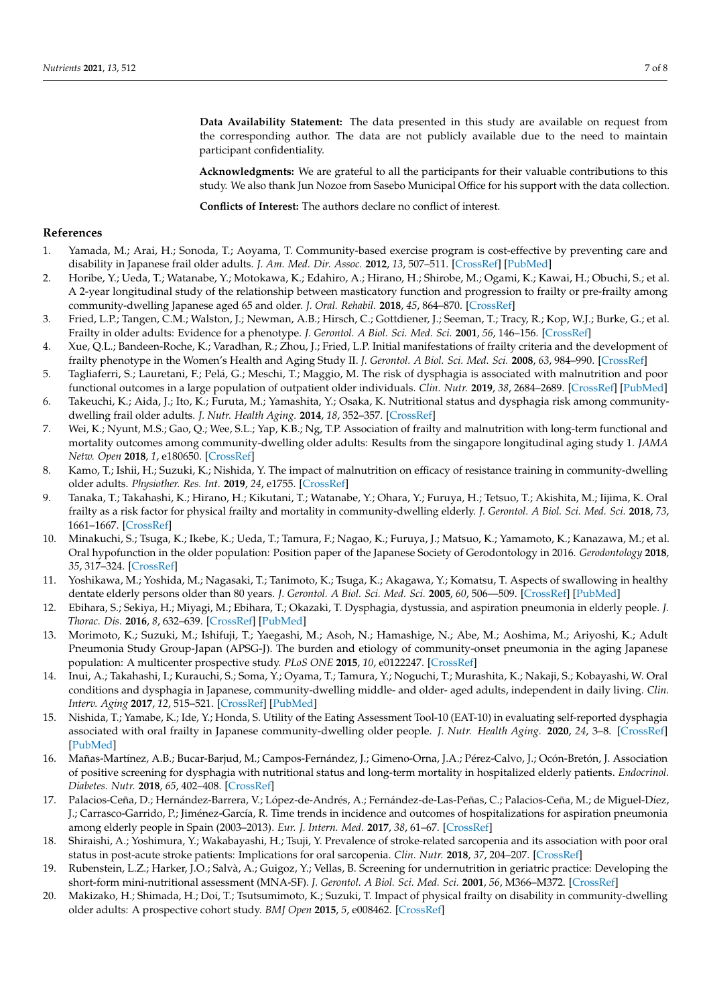**Data Availability Statement:** The data presented in this study are available on request from the corresponding author. The data are not publicly available due to the need to maintain participant confidentiality.

**Acknowledgments:** We are grateful to all the participants for their valuable contributions to this study. We also thank Jun Nozoe from Sasebo Municipal Office for his support with the data collection.

**Conflicts of Interest:** The authors declare no conflict of interest.

#### **References**

- <span id="page-6-0"></span>1. Yamada, M.; Arai, H.; Sonoda, T.; Aoyama, T. Community-based exercise program is cost-effective by preventing care and disability in Japanese frail older adults. *J. Am. Med. Dir. Assoc.* **2012**, *13*, 507–511. [\[CrossRef\]](http://doi.org/10.1016/j.jamda.2012.04.001) [\[PubMed\]](http://www.ncbi.nlm.nih.gov/pubmed/22572554)
- <span id="page-6-1"></span>2. Horibe, Y.; Ueda, T.; Watanabe, Y.; Motokawa, K.; Edahiro, A.; Hirano, H.; Shirobe, M.; Ogami, K.; Kawai, H.; Obuchi, S.; et al. A 2-year longitudinal study of the relationship between masticatory function and progression to frailty or pre-frailty among community-dwelling Japanese aged 65 and older. *J. Oral. Rehabil.* **2018**, *45*, 864–870. [\[CrossRef\]](http://doi.org/10.1111/joor.12700)
- <span id="page-6-2"></span>3. Fried, L.P.; Tangen, C.M.; Walston, J.; Newman, A.B.; Hirsch, C.; Gottdiener, J.; Seeman, T.; Tracy, R.; Kop, W.J.; Burke, G.; et al. Frailty in older adults: Evidence for a phenotype. *J. Gerontol. A Biol. Sci. Med. Sci.* **2001**, *56*, 146–156. [\[CrossRef\]](http://doi.org/10.1093/gerona/56.3.M146)
- <span id="page-6-3"></span>4. Xue, Q.L.; Bandeen-Roche, K.; Varadhan, R.; Zhou, J.; Fried, L.P. Initial manifestations of frailty criteria and the development of frailty phenotype in the Women's Health and Aging Study II. *J. Gerontol. A Biol. Sci. Med. Sci.* **2008**, *63*, 984–990. [\[CrossRef\]](http://doi.org/10.1093/gerona/63.9.984)
- <span id="page-6-4"></span>5. Tagliaferri, S.; Lauretani, F.; Pelá, G.; Meschi, T.; Maggio, M. The risk of dysphagia is associated with malnutrition and poor functional outcomes in a large population of outpatient older individuals. *Clin. Nutr.* **2019**, *38*, 2684–2689. [\[CrossRef\]](http://doi.org/10.1016/j.clnu.2018.11.022) [\[PubMed\]](http://www.ncbi.nlm.nih.gov/pubmed/30583964)
- <span id="page-6-5"></span>6. Takeuchi, K.; Aida, J.; Ito, K.; Furuta, M.; Yamashita, Y.; Osaka, K. Nutritional status and dysphagia risk among communitydwelling frail older adults. *J. Nutr. Health Aging.* **2014**, *18*, 352–357. [\[CrossRef\]](http://doi.org/10.1007/s12603-014-0025-3)
- <span id="page-6-6"></span>7. Wei, K.; Nyunt, M.S.; Gao, Q.; Wee, S.L.; Yap, K.B.; Ng, T.P. Association of frailty and malnutrition with long-term functional and mortality outcomes among community-dwelling older adults: Results from the singapore longitudinal aging study 1. *JAMA Netw. Open* **2018**, *1*, e180650. [\[CrossRef\]](http://doi.org/10.1001/jamanetworkopen.2018.0650)
- <span id="page-6-7"></span>8. Kamo, T.; Ishii, H.; Suzuki, K.; Nishida, Y. The impact of malnutrition on efficacy of resistance training in community-dwelling older adults. *Physiother. Res. Int.* **2019**, *24*, e1755. [\[CrossRef\]](http://doi.org/10.1002/pri.1755)
- <span id="page-6-8"></span>9. Tanaka, T.; Takahashi, K.; Hirano, H.; Kikutani, T.; Watanabe, Y.; Ohara, Y.; Furuya, H.; Tetsuo, T.; Akishita, M.; Iijima, K. Oral frailty as a risk factor for physical frailty and mortality in community-dwelling elderly. *J. Gerontol. A Biol. Sci. Med. Sci.* **2018**, *73*, 1661–1667. [\[CrossRef\]](http://doi.org/10.1093/gerona/glx225)
- <span id="page-6-9"></span>10. Minakuchi, S.; Tsuga, K.; Ikebe, K.; Ueda, T.; Tamura, F.; Nagao, K.; Furuya, J.; Matsuo, K.; Yamamoto, K.; Kanazawa, M.; et al. Oral hypofunction in the older population: Position paper of the Japanese Society of Gerodontology in 2016. *Gerodontology* **2018**, *35*, 317–324. [\[CrossRef\]](http://doi.org/10.1111/ger.12347)
- <span id="page-6-10"></span>11. Yoshikawa, M.; Yoshida, M.; Nagasaki, T.; Tanimoto, K.; Tsuga, K.; Akagawa, Y.; Komatsu, T. Aspects of swallowing in healthy dentate elderly persons older than 80 years. *J. Gerontol. A Biol. Sci. Med. Sci.* **2005**, *60*, 506—509. [\[CrossRef\]](http://doi.org/10.1093/gerona/60.4.506) [\[PubMed\]](http://www.ncbi.nlm.nih.gov/pubmed/15933392)
- <span id="page-6-11"></span>12. Ebihara, S.; Sekiya, H.; Miyagi, M.; Ebihara, T.; Okazaki, T. Dysphagia, dystussia, and aspiration pneumonia in elderly people. *J. Thorac. Dis.* **2016**, *8*, 632–639. [\[CrossRef\]](http://doi.org/10.21037/jtd.2016.02.60) [\[PubMed\]](http://www.ncbi.nlm.nih.gov/pubmed/27076964)
- <span id="page-6-12"></span>13. Morimoto, K.; Suzuki, M.; Ishifuji, T.; Yaegashi, M.; Asoh, N.; Hamashige, N.; Abe, M.; Aoshima, M.; Ariyoshi, K.; Adult Pneumonia Study Group-Japan (APSG-J). The burden and etiology of community-onset pneumonia in the aging Japanese population: A multicenter prospective study. *PLoS ONE* **2015**, *10*, e0122247. [\[CrossRef\]](http://doi.org/10.1371/journal.pone.0122247)
- <span id="page-6-13"></span>14. Inui, A.; Takahashi, I.; Kurauchi, S.; Soma, Y.; Oyama, T.; Tamura, Y.; Noguchi, T.; Murashita, K.; Nakaji, S.; Kobayashi, W. Oral conditions and dysphagia in Japanese, community-dwelling middle- and older- aged adults, independent in daily living. *Clin. Interv. Aging* **2017**, *12*, 515–521. [\[CrossRef\]](http://doi.org/10.2147/CIA.S132637) [\[PubMed\]](http://www.ncbi.nlm.nih.gov/pubmed/28352164)
- <span id="page-6-14"></span>15. Nishida, T.; Yamabe, K.; Ide, Y.; Honda, S. Utility of the Eating Assessment Tool-10 (EAT-10) in evaluating self-reported dysphagia associated with oral frailty in Japanese community-dwelling older people. *J. Nutr. Health Aging.* **2020**, *24*, 3–8. [\[CrossRef\]](http://doi.org/10.1007/s12603-019-1256-0) [\[PubMed\]](http://www.ncbi.nlm.nih.gov/pubmed/31886801)
- <span id="page-6-15"></span>16. Mañas-Martínez, A.B.; Bucar-Barjud, M.; Campos-Fernández, J.; Gimeno-Orna, J.A.; Pérez-Calvo, J.; Ocón-Bretón, J. Association of positive screening for dysphagia with nutritional status and long-term mortality in hospitalized elderly patients. *Endocrinol. Diabetes. Nutr.* **2018**, *65*, 402–408. [\[CrossRef\]](http://doi.org/10.1016/j.endinu.2018.02.004)
- 17. Palacios-Ceña, D.; Hernández-Barrera, V.; López-de-Andrés, A.; Fernández-de-Las-Peñas, C.; Palacios-Ceña, M.; de Miguel-Díez, J.; Carrasco-Garrido, P.; Jiménez-García, R. Time trends in incidence and outcomes of hospitalizations for aspiration pneumonia among elderly people in Spain (2003–2013). *Eur. J. Intern. Med.* **2017**, *38*, 61–67. [\[CrossRef\]](http://doi.org/10.1016/j.ejim.2016.12.022)
- <span id="page-6-16"></span>18. Shiraishi, A.; Yoshimura, Y.; Wakabayashi, H.; Tsuji, Y. Prevalence of stroke-related sarcopenia and its association with poor oral status in post-acute stroke patients: Implications for oral sarcopenia. *Clin. Nutr.* **2018**, *37*, 204–207. [\[CrossRef\]](http://doi.org/10.1016/j.clnu.2016.12.002)
- <span id="page-6-17"></span>19. Rubenstein, L.Z.; Harker, J.O.; Salvà, A.; Guigoz, Y.; Vellas, B. Screening for undernutrition in geriatric practice: Developing the short-form mini-nutritional assessment (MNA-SF). *J. Gerontol. A Biol. Sci. Med. Sci.* **2001**, *56*, M366–M372. [\[CrossRef\]](http://doi.org/10.1093/gerona/56.6.M366)
- <span id="page-6-18"></span>20. Makizako, H.; Shimada, H.; Doi, T.; Tsutsumimoto, K.; Suzuki, T. Impact of physical frailty on disability in community-dwelling older adults: A prospective cohort study. *BMJ Open* **2015**, *5*, e008462. [\[CrossRef\]](http://doi.org/10.1136/bmjopen-2015-008462)